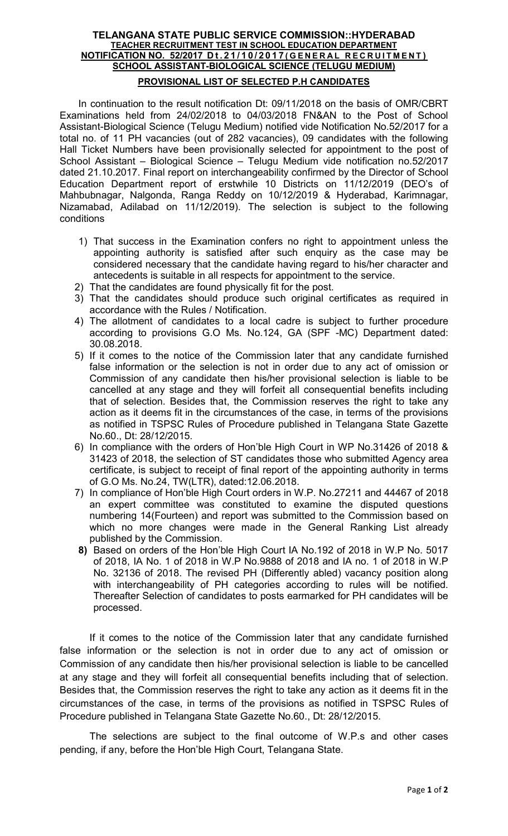# TELANGANA STATE PUBLIC SERVICE COMMISSION::HYDERABAD TEACHER RECRUITMENT TEST IN SCHOOL EDUCATION DEPARTMENT NOTIFICATION NO. 52/2017 Dt. 21/10/2017 (GENERAL RECRUITMENT) SCHOOL ASSISTANT-BIOLOGICAL SCIENCE (TELUGU MEDIUM)

# PROVISIONAL LIST OF SELECTED P.H CANDIDATES

In continuation to the result notification Dt: 09/11/2018 on the basis of OMR/CBRT Examinations held from 24/02/2018 to 04/03/2018 FN&AN to the Post of School Assistant-Biological Science (Telugu Medium) notified vide Notification No.52/2017 for a total no. of 11 PH vacancies (out of 282 vacancies), 09 candidates with the following Hall Ticket Numbers have been provisionally selected for appointment to the post of School Assistant – Biological Science – Telugu Medium vide notification no.52/2017 dated 21.10.2017. Final report on interchangeability confirmed by the Director of School Education Department report of erstwhile 10 Districts on 11/12/2019 (DEO's of Mahbubnagar, Nalgonda, Ranga Reddy on 10/12/2019 & Hyderabad, Karimnagar, Nizamabad, Adilabad on 11/12/2019). The selection is subject to the following conditions

- 1) That success in the Examination confers no right to appointment unless the appointing authority is satisfied after such enquiry as the case may be considered necessary that the candidate having regard to his/her character and antecedents is suitable in all respects for appointment to the service.
- 2) That the candidates are found physically fit for the post.
- 3) That the candidates should produce such original certificates as required in accordance with the Rules / Notification.
- 4) The allotment of candidates to a local cadre is subject to further procedure according to provisions G.O Ms. No.124, GA (SPF -MC) Department dated: 30.08.2018.
- 5) If it comes to the notice of the Commission later that any candidate furnished false information or the selection is not in order due to any act of omission or Commission of any candidate then his/her provisional selection is liable to be cancelled at any stage and they will forfeit all consequential benefits including that of selection. Besides that, the Commission reserves the right to take any action as it deems fit in the circumstances of the case, in terms of the provisions as notified in TSPSC Rules of Procedure published in Telangana State Gazette No.60., Dt: 28/12/2015.
- 6) In compliance with the orders of Hon'ble High Court in WP No.31426 of 2018 & 31423 of 2018, the selection of ST candidates those who submitted Agency area certificate, is subject to receipt of final report of the appointing authority in terms of G.O Ms. No.24, TW(LTR), dated:12.06.2018.
- 7) In compliance of Hon'ble High Court orders in W.P. No.27211 and 44467 of 2018 an expert committee was constituted to examine the disputed questions numbering 14(Fourteen) and report was submitted to the Commission based on which no more changes were made in the General Ranking List already published by the Commission.
- 8) Based on orders of the Hon'ble High Court IA No.192 of 2018 in W.P No. 5017 of 2018, IA No. 1 of 2018 in W.P No.9888 of 2018 and IA no. 1 of 2018 in W.P No. 32136 of 2018. The revised PH (Differently abled) vacancy position along with interchangeability of PH categories according to rules will be notified. Thereafter Selection of candidates to posts earmarked for PH candidates will be processed.

If it comes to the notice of the Commission later that any candidate furnished false information or the selection is not in order due to any act of omission or Commission of any candidate then his/her provisional selection is liable to be cancelled at any stage and they will forfeit all consequential benefits including that of selection. Besides that, the Commission reserves the right to take any action as it deems fit in the circumstances of the case, in terms of the provisions as notified in TSPSC Rules of Procedure published in Telangana State Gazette No.60., Dt: 28/12/2015.

 The selections are subject to the final outcome of W.P.s and other cases pending, if any, before the Hon'ble High Court, Telangana State.